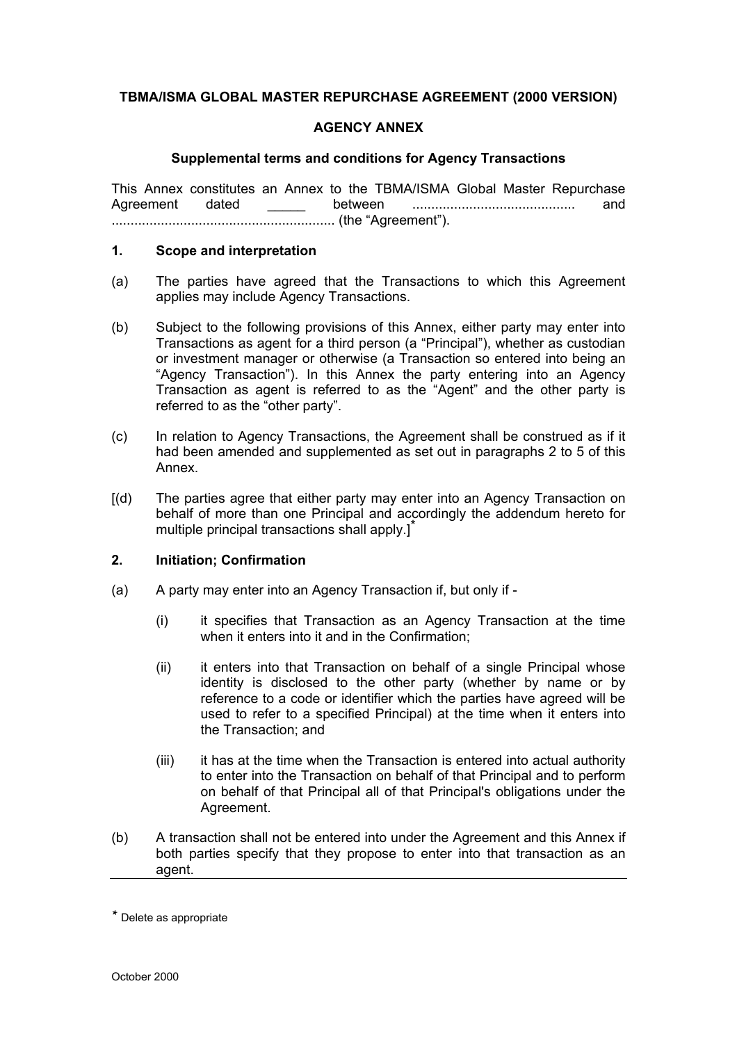## **TBMA/ISMA GLOBAL MASTER REPURCHASE AGREEMENT (2000 VERSION)**

### **AGENCY ANNEX**

### **Supplemental terms and conditions for Agency Transactions**

This Annex constitutes an Annex to the TBMA/ISMA Global Master Repurchase Agreement dated \_\_\_\_\_ between ........................................... and ........................................................... (the "Agreement").

### **1. Scope and interpretation**

- (a) The parties have agreed that the Transactions to which this Agreement applies may include Agency Transactions.
- (b) Subject to the following provisions of this Annex, either party may enter into Transactions as agent for a third person (a "Principal"), whether as custodian or investment manager or otherwise (a Transaction so entered into being an "Agency Transaction"). In this Annex the party entering into an Agency Transaction as agent is referred to as the "Agent" and the other party is referred to as the "other party".
- (c) In relation to Agency Transactions, the Agreement shall be construed as if it had been amended and supplemented as set out in paragraphs 2 to 5 of this Annex.
- [(d) The parties agree that either party may enter into an Agency Transaction on behalf of more than one Principal and accordingly the addendum hereto for multiple principal transactions shall apply.[\]\\*](#page-0-0)

## **2. Initiation; Confirmation**

- (a) A party may enter into an Agency Transaction if, but only if
	- (i) it specifies that Transaction as an Agency Transaction at the time when it enters into it and in the Confirmation;
	- (ii) it enters into that Transaction on behalf of a single Principal whose identity is disclosed to the other party (whether by name or by reference to a code or identifier which the parties have agreed will be used to refer to a specified Principal) at the time when it enters into the Transaction; and
	- (iii) it has at the time when the Transaction is entered into actual authority to enter into the Transaction on behalf of that Principal and to perform on behalf of that Principal all of that Principal's obligations under the Agreement.
- (b) A transaction shall not be entered into under the Agreement and this Annex if both parties specify that they propose to enter into that transaction as an agent.

<span id="page-0-0"></span>*<sup>\*</sup>* Delete as appropriate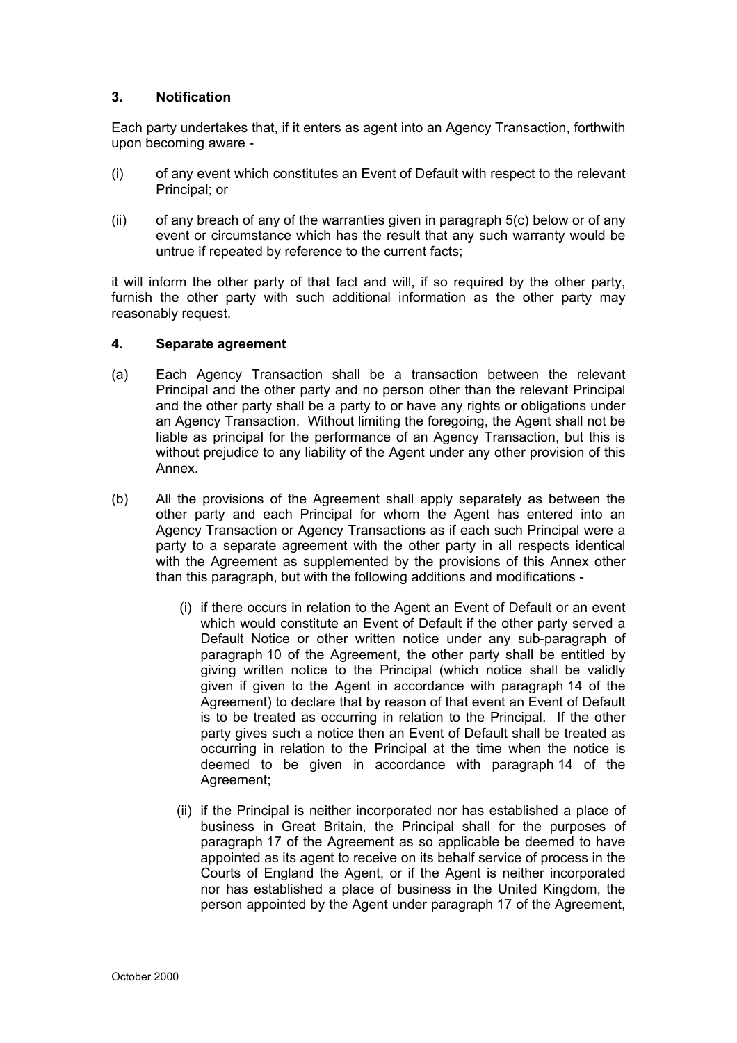### **3. Notification**

Each party undertakes that, if it enters as agent into an Agency Transaction, forthwith upon becoming aware -

- (i) of any event which constitutes an Event of Default with respect to the relevant Principal; or
- (ii) of any breach of any of the warranties given in paragraph 5(c) below or of any event or circumstance which has the result that any such warranty would be untrue if repeated by reference to the current facts;

it will inform the other party of that fact and will, if so required by the other party, furnish the other party with such additional information as the other party may reasonably request.

#### **4. Separate agreement**

- (a) Each Agency Transaction shall be a transaction between the relevant Principal and the other party and no person other than the relevant Principal and the other party shall be a party to or have any rights or obligations under an Agency Transaction. Without limiting the foregoing, the Agent shall not be liable as principal for the performance of an Agency Transaction, but this is without prejudice to any liability of the Agent under any other provision of this Annex.
- (b) All the provisions of the Agreement shall apply separately as between the other party and each Principal for whom the Agent has entered into an Agency Transaction or Agency Transactions as if each such Principal were a party to a separate agreement with the other party in all respects identical with the Agreement as supplemented by the provisions of this Annex other than this paragraph, but with the following additions and modifications -
	- (i) if there occurs in relation to the Agent an Event of Default or an event which would constitute an Event of Default if the other party served a Default Notice or other written notice under any sub-paragraph of paragraph 10 of the Agreement, the other party shall be entitled by giving written notice to the Principal (which notice shall be validly given if given to the Agent in accordance with paragraph 14 of the Agreement) to declare that by reason of that event an Event of Default is to be treated as occurring in relation to the Principal. If the other party gives such a notice then an Event of Default shall be treated as occurring in relation to the Principal at the time when the notice is deemed to be given in accordance with paragraph 14 of the Agreement;
	- (ii) if the Principal is neither incorporated nor has established a place of business in Great Britain, the Principal shall for the purposes of paragraph 17 of the Agreement as so applicable be deemed to have appointed as its agent to receive on its behalf service of process in the Courts of England the Agent, or if the Agent is neither incorporated nor has established a place of business in the United Kingdom, the person appointed by the Agent under paragraph 17 of the Agreement,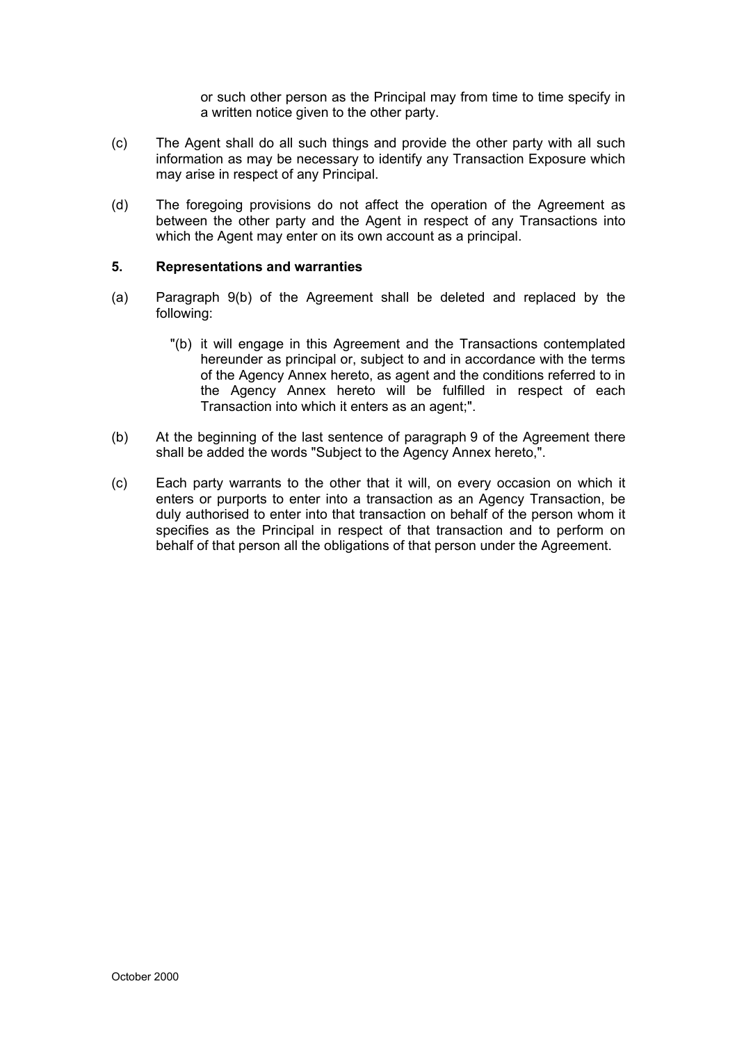or such other person as the Principal may from time to time specify in a written notice given to the other party.

- (c) The Agent shall do all such things and provide the other party with all such information as may be necessary to identify any Transaction Exposure which may arise in respect of any Principal.
- (d) The foregoing provisions do not affect the operation of the Agreement as between the other party and the Agent in respect of any Transactions into which the Agent may enter on its own account as a principal.

### **5. Representations and warranties**

- (a) Paragraph 9(b) of the Agreement shall be deleted and replaced by the following:
	- "(b) it will engage in this Agreement and the Transactions contemplated hereunder as principal or, subject to and in accordance with the terms of the Agency Annex hereto, as agent and the conditions referred to in the Agency Annex hereto will be fulfilled in respect of each Transaction into which it enters as an agent;".
- (b) At the beginning of the last sentence of paragraph 9 of the Agreement there shall be added the words "Subject to the Agency Annex hereto,".
- (c) Each party warrants to the other that it will, on every occasion on which it enters or purports to enter into a transaction as an Agency Transaction, be duly authorised to enter into that transaction on behalf of the person whom it specifies as the Principal in respect of that transaction and to perform on behalf of that person all the obligations of that person under the Agreement.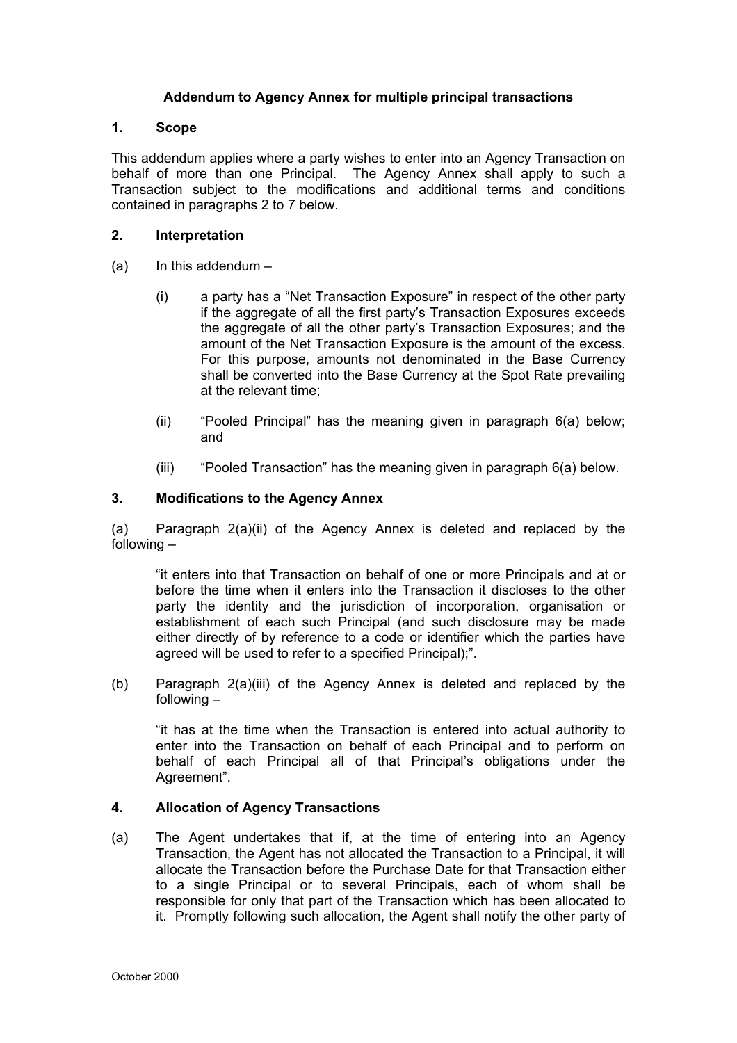# **Addendum to Agency Annex for multiple principal transactions**

### **1. Scope**

This addendum applies where a party wishes to enter into an Agency Transaction on behalf of more than one Principal. The Agency Annex shall apply to such a Transaction subject to the modifications and additional terms and conditions contained in paragraphs 2 to 7 below.

### **2. Interpretation**

- $(a)$  In this addendum  $-$ 
	- (i) a party has a "Net Transaction Exposure" in respect of the other party if the aggregate of all the first party's Transaction Exposures exceeds the aggregate of all the other party's Transaction Exposures; and the amount of the Net Transaction Exposure is the amount of the excess. For this purpose, amounts not denominated in the Base Currency shall be converted into the Base Currency at the Spot Rate prevailing at the relevant time;
	- (ii) "Pooled Principal" has the meaning given in paragraph 6(a) below; and
	- (iii) "Pooled Transaction" has the meaning given in paragraph 6(a) below.

### **3. Modifications to the Agency Annex**

(a) Paragraph 2(a)(ii) of the Agency Annex is deleted and replaced by the following –

"it enters into that Transaction on behalf of one or more Principals and at or before the time when it enters into the Transaction it discloses to the other party the identity and the jurisdiction of incorporation, organisation or establishment of each such Principal (and such disclosure may be made either directly of by reference to a code or identifier which the parties have agreed will be used to refer to a specified Principal);".

(b) Paragraph 2(a)(iii) of the Agency Annex is deleted and replaced by the following –

"it has at the time when the Transaction is entered into actual authority to enter into the Transaction on behalf of each Principal and to perform on behalf of each Principal all of that Principal's obligations under the Agreement".

# **4. Allocation of Agency Transactions**

(a) The Agent undertakes that if, at the time of entering into an Agency Transaction, the Agent has not allocated the Transaction to a Principal, it will allocate the Transaction before the Purchase Date for that Transaction either to a single Principal or to several Principals, each of whom shall be responsible for only that part of the Transaction which has been allocated to it. Promptly following such allocation, the Agent shall notify the other party of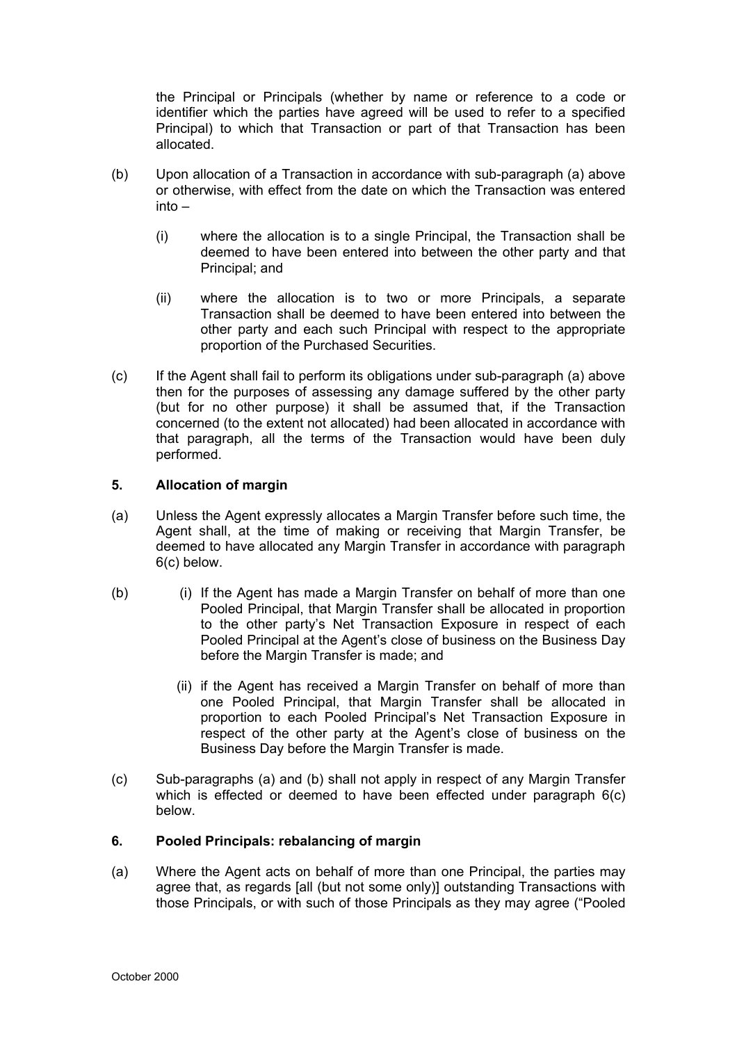the Principal or Principals (whether by name or reference to a code or identifier which the parties have agreed will be used to refer to a specified Principal) to which that Transaction or part of that Transaction has been allocated.

- (b) Upon allocation of a Transaction in accordance with sub-paragraph (a) above or otherwise, with effect from the date on which the Transaction was entered into –
	- (i) where the allocation is to a single Principal, the Transaction shall be deemed to have been entered into between the other party and that Principal; and
	- (ii) where the allocation is to two or more Principals, a separate Transaction shall be deemed to have been entered into between the other party and each such Principal with respect to the appropriate proportion of the Purchased Securities.
- (c) If the Agent shall fail to perform its obligations under sub-paragraph (a) above then for the purposes of assessing any damage suffered by the other party (but for no other purpose) it shall be assumed that, if the Transaction concerned (to the extent not allocated) had been allocated in accordance with that paragraph, all the terms of the Transaction would have been duly performed.

### **5. Allocation of margin**

- (a) Unless the Agent expressly allocates a Margin Transfer before such time, the Agent shall, at the time of making or receiving that Margin Transfer, be deemed to have allocated any Margin Transfer in accordance with paragraph 6(c) below.
- (b) (i) If the Agent has made a Margin Transfer on behalf of more than one Pooled Principal, that Margin Transfer shall be allocated in proportion to the other party's Net Transaction Exposure in respect of each Pooled Principal at the Agent's close of business on the Business Day before the Margin Transfer is made; and
	- (ii) if the Agent has received a Margin Transfer on behalf of more than one Pooled Principal, that Margin Transfer shall be allocated in proportion to each Pooled Principal's Net Transaction Exposure in respect of the other party at the Agent's close of business on the Business Day before the Margin Transfer is made.
- (c) Sub-paragraphs (a) and (b) shall not apply in respect of any Margin Transfer which is effected or deemed to have been effected under paragraph 6(c) below.

## **6. Pooled Principals: rebalancing of margin**

(a) Where the Agent acts on behalf of more than one Principal, the parties may agree that, as regards [all (but not some only)] outstanding Transactions with those Principals, or with such of those Principals as they may agree ("Pooled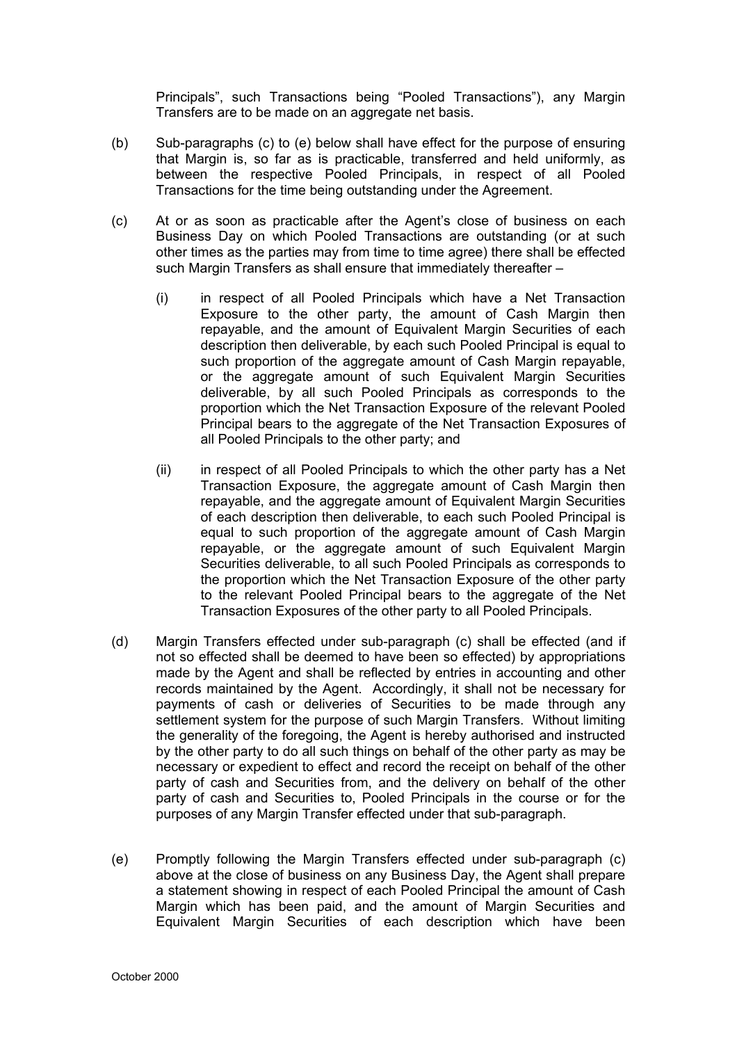Principals", such Transactions being "Pooled Transactions"), any Margin Transfers are to be made on an aggregate net basis.

- (b) Sub-paragraphs (c) to (e) below shall have effect for the purpose of ensuring that Margin is, so far as is practicable, transferred and held uniformly, as between the respective Pooled Principals, in respect of all Pooled Transactions for the time being outstanding under the Agreement.
- (c) At or as soon as practicable after the Agent's close of business on each Business Day on which Pooled Transactions are outstanding (or at such other times as the parties may from time to time agree) there shall be effected such Margin Transfers as shall ensure that immediately thereafter –
	- (i) in respect of all Pooled Principals which have a Net Transaction Exposure to the other party, the amount of Cash Margin then repayable, and the amount of Equivalent Margin Securities of each description then deliverable, by each such Pooled Principal is equal to such proportion of the aggregate amount of Cash Margin repayable. or the aggregate amount of such Equivalent Margin Securities deliverable, by all such Pooled Principals as corresponds to the proportion which the Net Transaction Exposure of the relevant Pooled Principal bears to the aggregate of the Net Transaction Exposures of all Pooled Principals to the other party; and
	- (ii) in respect of all Pooled Principals to which the other party has a Net Transaction Exposure, the aggregate amount of Cash Margin then repayable, and the aggregate amount of Equivalent Margin Securities of each description then deliverable, to each such Pooled Principal is equal to such proportion of the aggregate amount of Cash Margin repayable, or the aggregate amount of such Equivalent Margin Securities deliverable, to all such Pooled Principals as corresponds to the proportion which the Net Transaction Exposure of the other party to the relevant Pooled Principal bears to the aggregate of the Net Transaction Exposures of the other party to all Pooled Principals.
- (d) Margin Transfers effected under sub-paragraph (c) shall be effected (and if not so effected shall be deemed to have been so effected) by appropriations made by the Agent and shall be reflected by entries in accounting and other records maintained by the Agent. Accordingly, it shall not be necessary for payments of cash or deliveries of Securities to be made through any settlement system for the purpose of such Margin Transfers. Without limiting the generality of the foregoing, the Agent is hereby authorised and instructed by the other party to do all such things on behalf of the other party as may be necessary or expedient to effect and record the receipt on behalf of the other party of cash and Securities from, and the delivery on behalf of the other party of cash and Securities to, Pooled Principals in the course or for the purposes of any Margin Transfer effected under that sub-paragraph.
- (e) Promptly following the Margin Transfers effected under sub-paragraph (c) above at the close of business on any Business Day, the Agent shall prepare a statement showing in respect of each Pooled Principal the amount of Cash Margin which has been paid, and the amount of Margin Securities and Equivalent Margin Securities of each description which have been